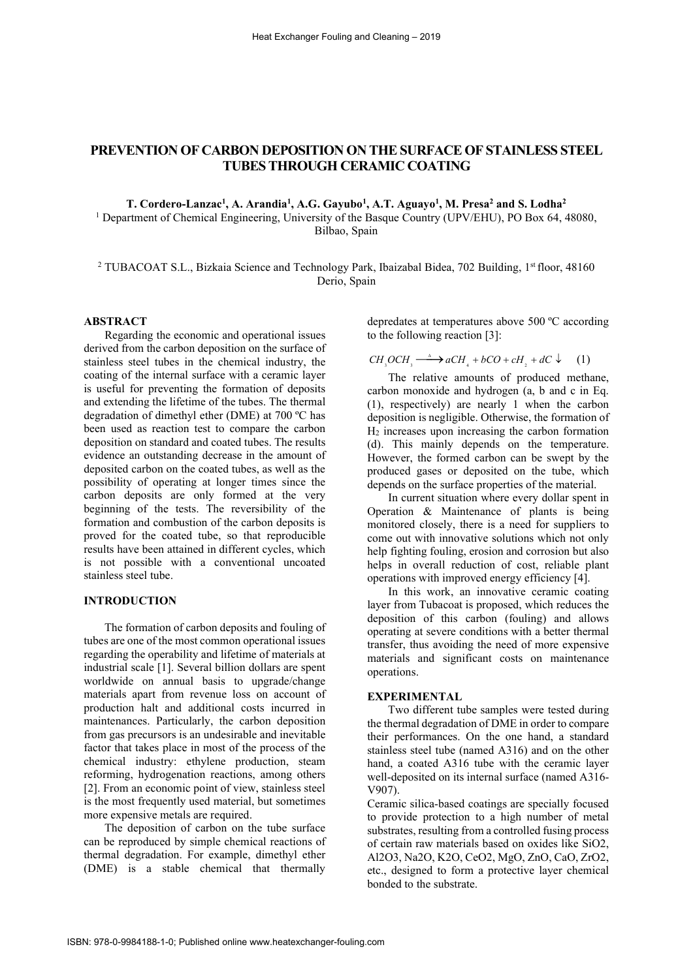# PREVENTION OF CARBON DEPOSITION ON THE SURFACE OF STAINLESS STEEL TUBES THROUGH CERAMIC COATING

T. Cordero-Lanzac<sup>1</sup>, A. Arandia<sup>1</sup>, A.G. Gayubo<sup>1</sup>, A.T. Aguayo<sup>1</sup>, M. Presa<sup>2</sup> and S. Lodha<sup>2</sup> <sup>1</sup> Department of Chemical Engineering, University of the Basque Country (UPV/EHU), PO Box 64, 48080, Bilbao, Spain

<sup>2</sup> TUBACOAT S.L., Bizkaia Science and Technology Park, Ibaizabal Bidea, 702 Building, 1st floor, 48160 Derio, Spain

# ABSTRACT

Regarding the economic and operational issues derived from the carbon deposition on the surface of stainless steel tubes in the chemical industry, the coating of the internal surface with a ceramic layer is useful for preventing the formation of deposits and extending the lifetime of the tubes. The thermal degradation of dimethyl ether (DME) at 700 ºC has been used as reaction test to compare the carbon deposition on standard and coated tubes. The results evidence an outstanding decrease in the amount of deposited carbon on the coated tubes, as well as the possibility of operating at longer times since the carbon deposits are only formed at the very beginning of the tests. The reversibility of the formation and combustion of the carbon deposits is proved for the coated tube, so that reproducible results have been attained in different cycles, which is not possible with a conventional uncoated stainless steel tube.

# INTRODUCTION

The formation of carbon deposits and fouling of tubes are one of the most common operational issues regarding the operability and lifetime of materials at industrial scale [1]. Several billion dollars are spent worldwide on annual basis to upgrade/change materials apart from revenue loss on account of production halt and additional costs incurred in maintenances. Particularly, the carbon deposition from gas precursors is an undesirable and inevitable factor that takes place in most of the process of the chemical industry: ethylene production, steam reforming, hydrogenation reactions, among others [2]. From an economic point of view, stainless steel is the most frequently used material, but sometimes more expensive metals are required.

The deposition of carbon on the tube surface can be reproduced by simple chemical reactions of thermal degradation. For example, dimethyl ether (DME) is a stable chemical that thermally

depredates at temperatures above 500 ºC according to the following reaction [3]:

 $CH<sub>3</sub> OCH<sub>3</sub> \longrightarrow aCH<sub>4</sub> + bCO + cH<sub>2</sub> + dC \downarrow$  (1)

The relative amounts of produced methane, carbon monoxide and hydrogen (a, b and c in Eq. (1), respectively) are nearly 1 when the carbon deposition is negligible. Otherwise, the formation of  $H<sub>2</sub>$  increases upon increasing the carbon formation (d). This mainly depends on the temperature. However, the formed carbon can be swept by the produced gases or deposited on the tube, which depends on the surface properties of the material.

In current situation where every dollar spent in Operation & Maintenance of plants is being monitored closely, there is a need for suppliers to come out with innovative solutions which not only help fighting fouling, erosion and corrosion but also helps in overall reduction of cost, reliable plant operations with improved energy efficiency [4].

In this work, an innovative ceramic coating layer from Tubacoat is proposed, which reduces the deposition of this carbon (fouling) and allows operating at severe conditions with a better thermal transfer, thus avoiding the need of more expensive materials and significant costs on maintenance operations.

## EXPERIMENTAL

Two different tube samples were tested during the thermal degradation of DME in order to compare their performances. On the one hand, a standard stainless steel tube (named A316) and on the other hand, a coated A316 tube with the ceramic layer well-deposited on its internal surface (named A316- V907).

Ceramic silica-based coatings are specially focused to provide protection to a high number of metal substrates, resulting from a controlled fusing process of certain raw materials based on oxides like SiO2, Al2O3, Na2O, K2O, CeO2, MgO, ZnO, CaO, ZrO2, etc., designed to form a protective layer chemical bonded to the substrate.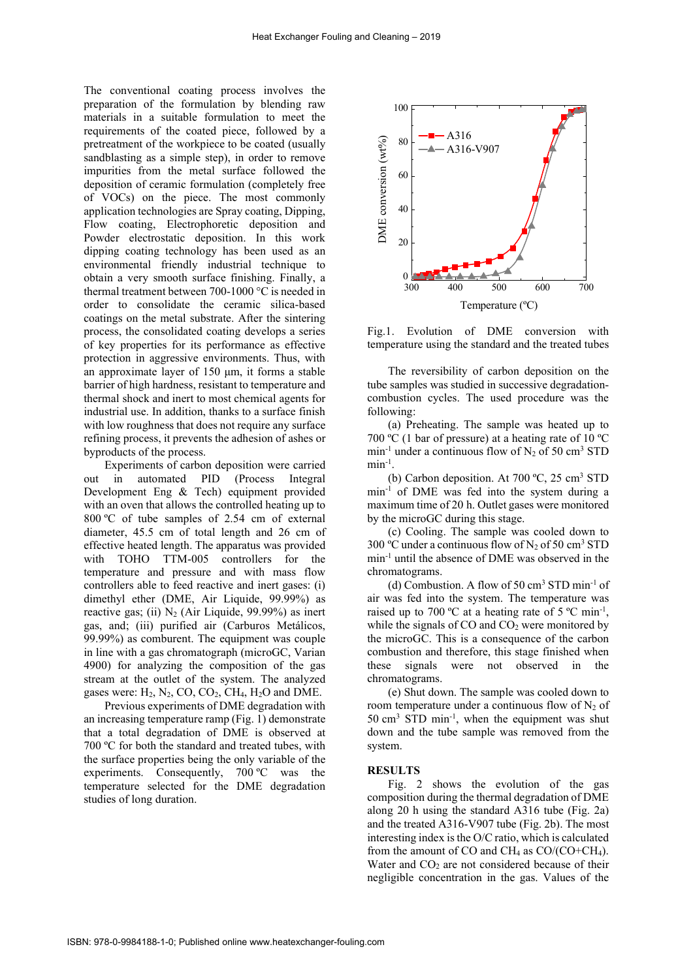The conventional coating process involves the preparation of the formulation by blending raw materials in a suitable formulation to meet the requirements of the coated piece, followed by a pretreatment of the workpiece to be coated (usually sandblasting as a simple step), in order to remove impurities from the metal surface followed the deposition of ceramic formulation (completely free of VOCs) on the piece. The most commonly application technologies are Spray coating, Dipping, Flow coating, Electrophoretic deposition and Powder electrostatic deposition. In this work dipping coating technology has been used as an environmental friendly industrial technique to obtain a very smooth surface finishing. Finally, a thermal treatment between 700-1000 °C is needed in order to consolidate the ceramic silica-based coatings on the metal substrate. After the sintering process, the consolidated coating develops a series of key properties for its performance as effective protection in aggressive environments. Thus, with an approximate layer of 150 μm, it forms a stable barrier of high hardness, resistant to temperature and thermal shock and inert to most chemical agents for industrial use. In addition, thanks to a surface finish with low roughness that does not require any surface refining process, it prevents the adhesion of ashes or byproducts of the process.

Experiments of carbon deposition were carried out in automated PID (Process Integral Development Eng & Tech) equipment provided with an oven that allows the controlled heating up to 800 ºC of tube samples of 2.54 cm of external diameter, 45.5 cm of total length and 26 cm of effective heated length. The apparatus was provided with TOHO TTM-005 controllers for the temperature and pressure and with mass flow controllers able to feed reactive and inert gases: (i) dimethyl ether (DME, Air Liquide, 99.99%) as reactive gas; (ii)  $N_2$  (Air Liquide, 99.99%) as inert gas, and; (iii) purified air (Carburos Metálicos, 99.99%) as comburent. The equipment was couple in line with a gas chromatograph (microGC, Varian 4900) for analyzing the composition of the gas stream at the outlet of the system. The analyzed gases were:  $H_2$ ,  $N_2$ ,  $CO$ ,  $CO_2$ ,  $CH_4$ ,  $H_2O$  and DME.

Previous experiments of DME degradation with an increasing temperature ramp (Fig. 1) demonstrate that a total degradation of DME is observed at 700 ºC for both the standard and treated tubes, with the surface properties being the only variable of the experiments. Consequently, 700 ºC was the temperature selected for the DME degradation studies of long duration.



Fig.1. Evolution of DME conversion with temperature using the standard and the treated tubes

The reversibility of carbon deposition on the tube samples was studied in successive degradationcombustion cycles. The used procedure was the following:

(a) Preheating. The sample was heated up to 700 ºC (1 bar of pressure) at a heating rate of 10 ºC  $min^{-1}$  under a continuous flow of  $N_2$  of 50 cm<sup>3</sup> STD  $min^{-1}$ .

(b) Carbon deposition. At  $700 °C$ ,  $25 cm<sup>3</sup> STD$ min-1 of DME was fed into the system during a maximum time of 20 h. Outlet gases were monitored by the microGC during this stage.

(c) Cooling. The sample was cooled down to 300 °C under a continuous flow of  $N_2$  of 50 cm<sup>3</sup> STD min-1 until the absence of DME was observed in the chromatograms.

(d) Combustion. A flow of  $50 \text{ cm}^3$  STD min<sup>-1</sup> of air was fed into the system. The temperature was raised up to 700 °C at a heating rate of 5 °C min<sup>-1</sup>, while the signals of  $CO$  and  $CO<sub>2</sub>$  were monitored by the microGC. This is a consequence of the carbon combustion and therefore, this stage finished when these signals were not observed in the chromatograms.

(e) Shut down. The sample was cooled down to room temperature under a continuous flow of  $N_2$  of 50 cm3 STD min-1, when the equipment was shut down and the tube sample was removed from the system.

#### **RESULTS**

Fig. 2 shows the evolution of the gas composition during the thermal degradation of DME along 20 h using the standard A316 tube (Fig. 2a) and the treated A316-V907 tube (Fig. 2b). The most interesting index is the O/C ratio, which is calculated from the amount of CO and CH<sub>4</sub> as  $CO/(CO+CH<sub>4</sub>)$ . Water and  $CO<sub>2</sub>$  are not considered because of their negligible concentration in the gas. Values of the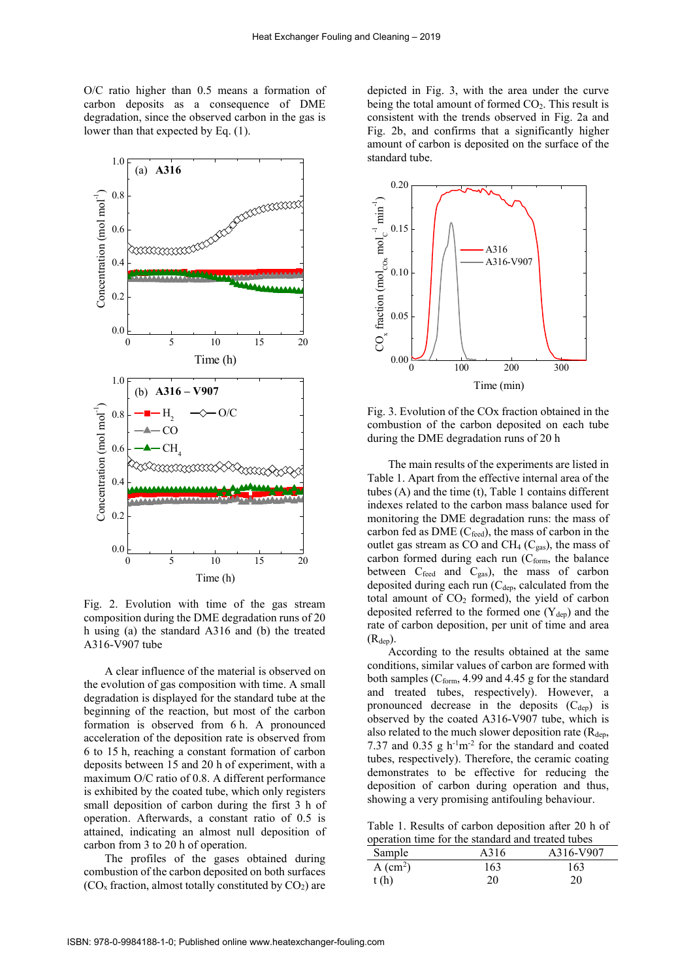O/C ratio higher than 0.5 means a formation of carbon deposits as a consequence of DME degradation, since the observed carbon in the gas is lower than that expected by Eq. (1).



Fig. 2. Evolution with time of the gas stream composition during the DME degradation runs of 20 h using (a) the standard A316 and (b) the treated A316-V907 tube

A clear influence of the material is observed on the evolution of gas composition with time. A small degradation is displayed for the standard tube at the beginning of the reaction, but most of the carbon formation is observed from 6 h. A pronounced acceleration of the deposition rate is observed from 6 to 15 h, reaching a constant formation of carbon deposits between 15 and 20 h of experiment, with a maximum O/C ratio of 0.8. A different performance is exhibited by the coated tube, which only registers small deposition of carbon during the first 3 h of operation. Afterwards, a constant ratio of 0.5 is attained, indicating an almost null deposition of carbon from 3 to 20 h of operation.

The profiles of the gases obtained during combustion of the carbon deposited on both surfaces  $(CO<sub>x</sub>$  fraction, almost totally constituted by  $CO<sub>2</sub>$ ) are

depicted in Fig. 3, with the area under the curve being the total amount of formed  $CO<sub>2</sub>$ . This result is consistent with the trends observed in Fig. 2a and Fig. 2b, and confirms that a significantly higher amount of carbon is deposited on the surface of the standard tube.



Fig. 3. Evolution of the COx fraction obtained in the combustion of the carbon deposited on each tube during the DME degradation runs of 20 h

The main results of the experiments are listed in Table 1. Apart from the effective internal area of the tubes (A) and the time (t), Table 1 contains different indexes related to the carbon mass balance used for monitoring the DME degradation runs: the mass of carbon fed as  $DME$  (C<sub>feed</sub>), the mass of carbon in the outlet gas stream as CO and CH<sub>4</sub> ( $C_{gas}$ ), the mass of carbon formed during each run  $(C<sub>form</sub>, the balance$ between  $C_{\text{feed}}$  and  $C_{\text{gas}}$ ), the mass of carbon deposited during each run  $(C<sub>dep</sub>, calculated from the$ total amount of  $CO<sub>2</sub>$  formed), the yield of carbon deposited referred to the formed one  $(Y_{dep})$  and the rate of carbon deposition, per unit of time and area  $(R_{dep})$ .

According to the results obtained at the same conditions, similar values of carbon are formed with both samples ( $C_{form}$ , 4.99 and 4.45 g for the standard and treated tubes, respectively). However, a pronounced decrease in the deposits  $(C_{dep})$  is observed by the coated A316-V907 tube, which is also related to the much slower deposition rate  $(R<sub>den</sub>$ , 7.37 and 0.35 g  $h^{-1}m^{-2}$  for the standard and coated tubes, respectively). Therefore, the ceramic coating demonstrates to be effective for reducing the deposition of carbon during operation and thus, showing a very promising antifouling behaviour.

Table 1. Results of carbon deposition after 20 h of operation time for the standard and treated tubes

| operation third for the standard and treated tables |      |           |
|-----------------------------------------------------|------|-----------|
| Sample                                              | A316 | A316-V907 |
| $A$ (cm <sup>2</sup> )                              | 163  | 163       |
| t(h)                                                | 20   | 20        |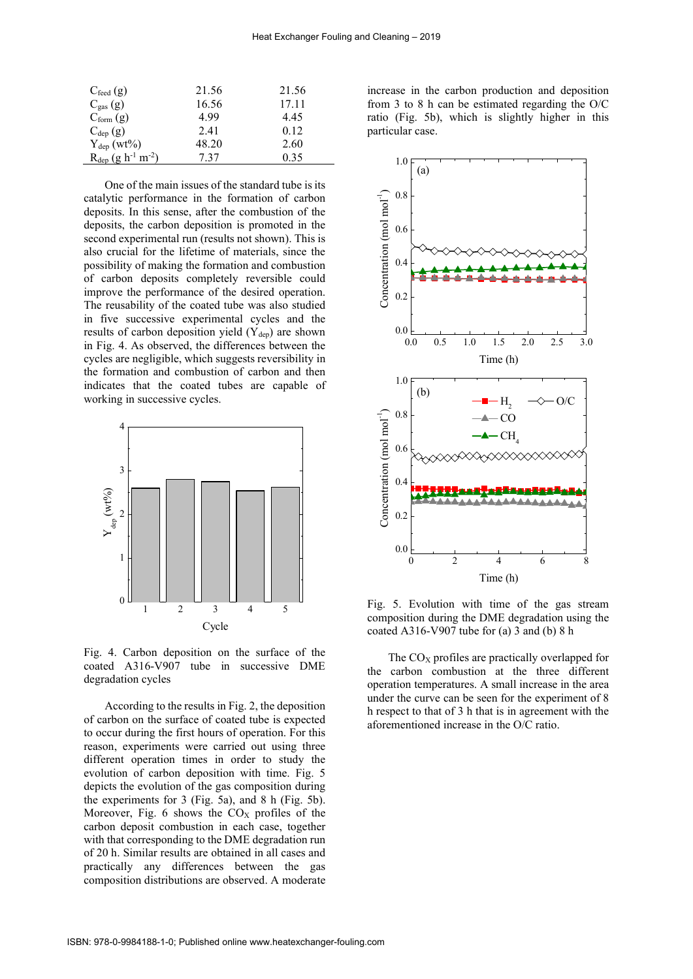| $C_{\text{feed}}(g)$        | 21.56 | 21.56 |
|-----------------------------|-------|-------|
| $C_{gas}(g)$                | 16.56 | 17.11 |
| $C_{form}$ (g)              | 4.99  | 4.45  |
| $C_{dep}$ (g)               | 2.41  | 0.12  |
| $Y_{dep}$ (wt%)             | 48.20 | 2.60  |
| $R_{dep} (g h^{-1} m^{-2})$ | 7.37  | 0.35  |

One of the main issues of the standard tube is its catalytic performance in the formation of carbon deposits. In this sense, after the combustion of the deposits, the carbon deposition is promoted in the second experimental run (results not shown). This is also crucial for the lifetime of materials, since the possibility of making the formation and combustion of carbon deposits completely reversible could improve the performance of the desired operation. The reusability of the coated tube was also studied in five successive experimental cycles and the results of carbon deposition yield  $(Y_{dep})$  are shown in Fig. 4. As observed, the differences between the cycles are negligible, which suggests reversibility in the formation and combustion of carbon and then indicates that the coated tubes are capable of working in successive cycles.



Fig. 4. Carbon deposition on the surface of the coated A316-V907 tube in successive DME degradation cycles

According to the results in Fig. 2, the deposition of carbon on the surface of coated tube is expected to occur during the first hours of operation. For this reason, experiments were carried out using three different operation times in order to study the evolution of carbon deposition with time. Fig. 5 depicts the evolution of the gas composition during the experiments for 3 (Fig. 5a), and 8 h (Fig. 5b). Moreover, Fig. 6 shows the  $CO<sub>X</sub>$  profiles of the carbon deposit combustion in each case, together with that corresponding to the DME degradation run of 20 h. Similar results are obtained in all cases and practically any differences between the gas composition distributions are observed. A moderate

increase in the carbon production and deposition from 3 to 8 h can be estimated regarding the O/C ratio (Fig. 5b), which is slightly higher in this particular case.



Fig. 5. Evolution with time of the gas stream composition during the DME degradation using the coated A316-V907 tube for (a) 3 and (b) 8 h

The  $CO<sub>X</sub>$  profiles are practically overlapped for the carbon combustion at the three different operation temperatures. A small increase in the area under the curve can be seen for the experiment of 8 h respect to that of 3 h that is in agreement with the aforementioned increase in the O/C ratio.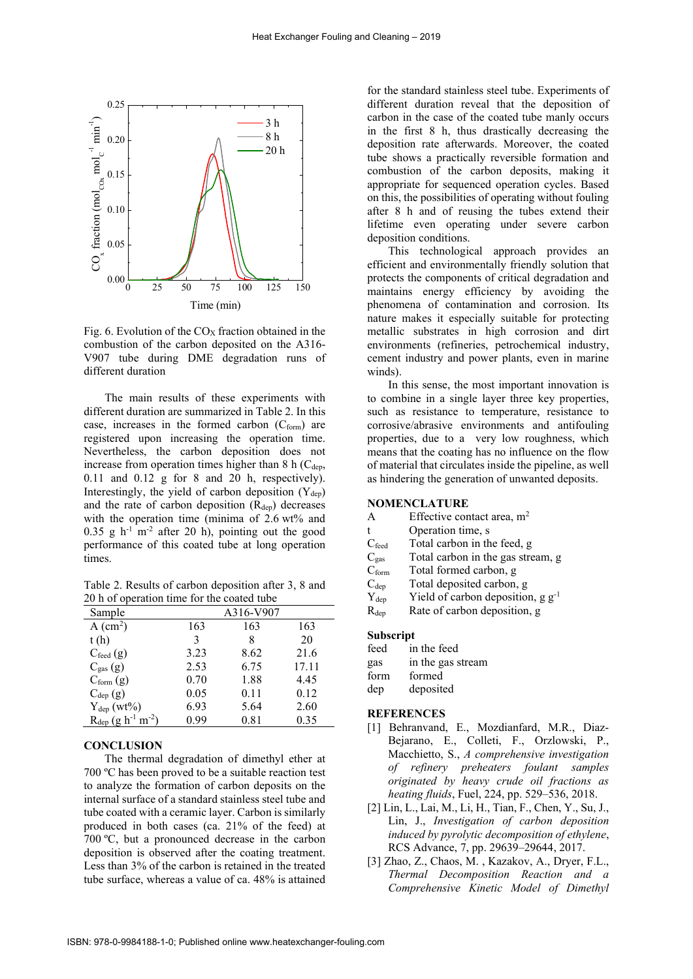

Fig. 6. Evolution of the  $CO<sub>X</sub>$  fraction obtained in the combustion of the carbon deposited on the A316- V907 tube during DME degradation runs of different duration

The main results of these experiments with different duration are summarized in Table 2. In this case, increases in the formed carbon  $(C_{form})$  are registered upon increasing the operation time. Nevertheless, the carbon deposition does not increase from operation times higher than  $8 \text{ h } (C_{den},$ 0.11 and 0.12 g for 8 and 20 h, respectively). Interestingly, the yield of carbon deposition  $(Y_{dep})$ and the rate of carbon deposition  $(R<sub>den</sub>)$  decreases with the operation time (minima of  $2.6 \text{ wt\%}$  and  $0.35$  g h<sup>-1</sup> m<sup>-2</sup> after 20 h), pointing out the good performance of this coated tube at long operation times.

Table 2. Results of carbon deposition after 3, 8 and 20 h of operation time for the coated tube

| Sample                      |      | A316-V907 |       |
|-----------------------------|------|-----------|-------|
| $A$ (cm <sup>2</sup> )      | 163  | 163       | 163   |
| t(h)                        | 3    | 8         | 20    |
| $C_{\text{feed}}(g)$        | 3.23 | 8.62      | 21.6  |
| $C_{gas}(g)$                | 2.53 | 6.75      | 17.11 |
| $C_{form} (g)$              | 0.70 | 1.88      | 4.45  |
| $C_{dep}$ (g)               | 0.05 | 0.11      | 0.12  |
| $Y_{dep}$ (wt%)             | 6.93 | 5.64      | 2.60  |
| $R_{dep} (g h^{-1} m^{-2})$ | 0.99 | 0.81      | 0.35  |

## **CONCLUSION**

The thermal degradation of dimethyl ether at 700 ºC has been proved to be a suitable reaction test to analyze the formation of carbon deposits on the internal surface of a standard stainless steel tube and tube coated with a ceramic layer. Carbon is similarly produced in both cases (ca. 21% of the feed) at 700 ºC, but a pronounced decrease in the carbon deposition is observed after the coating treatment. Less than 3% of the carbon is retained in the treated tube surface, whereas a value of ca. 48% is attained

for the standard stainless steel tube. Experiments of different duration reveal that the deposition of carbon in the case of the coated tube manly occurs in the first 8 h, thus drastically decreasing the deposition rate afterwards. Moreover, the coated tube shows a practically reversible formation and combustion of the carbon deposits, making it appropriate for sequenced operation cycles. Based on this, the possibilities of operating without fouling after 8 h and of reusing the tubes extend their lifetime even operating under severe carbon deposition conditions.

This technological approach provides an efficient and environmentally friendly solution that protects the components of critical degradation and maintains energy efficiency by avoiding the phenomena of contamination and corrosion. Its nature makes it especially suitable for protecting metallic substrates in high corrosion and dirt environments (refineries, petrochemical industry, cement industry and power plants, even in marine winds).

In this sense, the most important innovation is to combine in a single layer three key properties, such as resistance to temperature, resistance to corrosive/abrasive environments and antifouling properties, due to a very low roughness, which means that the coating has no influence on the flow of material that circulates inside the pipeline, as well as hindering the generation of unwanted deposits.

# NOMENCLATURE

| A                 | Effective contact area, $m2$           |
|-------------------|----------------------------------------|
| t                 | Operation time, s                      |
| $C_{\text{feed}}$ | Total carbon in the feed, g            |
| $C_{gas}$         | Total carbon in the gas stream, g      |
| $C_{\text{form}}$ | Total formed carbon, g                 |
| $C_{dep}$         | Total deposited carbon, g              |
| $Y_{dep}$         | Yield of carbon deposition, $g g^{-1}$ |
| $\rm R_{dep}$     | Rate of carbon deposition, g           |

# Subscript

| feed | in the feed       |
|------|-------------------|
| gas  | in the gas stream |
| form | formed            |
| dep  | deposited         |

#### **REFERENCES**

- [1] Behranvand, E., Mozdianfard, M.R., Diaz-Bejarano, E., Colleti, F., Orzlowski, P., Macchietto, S., *A comprehensive investigation of refinery preheaters foulant samples originated by heavy crude oil fractions as heating fluids*, Fuel, 224, pp. 529–536, 2018.
- [2] Lin, L., Lai, M., Li, H., Tian, F., Chen, Y., Su, J., Lin, J., *Investigation of carbon deposition induced by pyrolytic decomposition of ethylene*, RCS Advance, 7, pp. 29639–29644, 2017.
- [3] Zhao, Z., Chaos, M. , Kazakov, A., Dryer, F.L., *Thermal Decomposition Reaction and a Comprehensive Kinetic Model of Dimethyl*